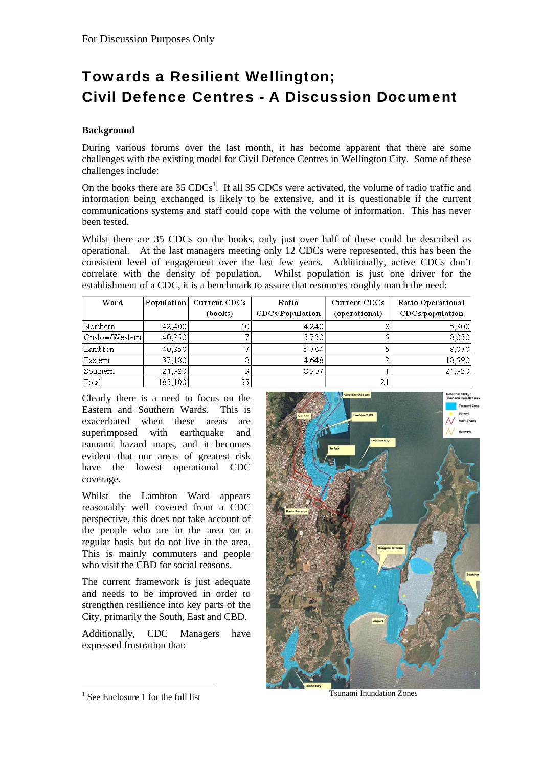# Towards a Resilient Wellington; Civil Defence Centres - A Discussion Document

## **Background**

During various forums over the last month, it has become apparent that there are some challenges with the existing model for Civil Defence Centres in Wellington City. Some of these challenges include:

On the books there are  $35 \text{ CDCs}^1$ . If all  $35 \text{ CDCs}$  were activated, the volume of radio traffic and information being exchanged is likely to be extensive, and it is questionable if the current communications systems and staff could cope with the volume of information. This has never been tested.

Whilst there are 35 CDCs on the books, only just over half of these could be described as operational. At the last managers meeting only 12 CDCs were represented, this has been the consistent level of engagement over the last few years. Additionally, active CDCs don't correlate with the density of population. Whilst population is just one driver for the establishment of a CDC, it is a benchmark to assure that resources roughly match the need:

| Ward            | Population | <b>Current CDCs</b> | Ratio           | Current CDCs  | Ratio Operational |
|-----------------|------------|---------------------|-----------------|---------------|-------------------|
|                 |            | (books)             | CDCs/Population | (operational) | CDCs/population   |
| Northern        | 42,400     |                     | 4,240           |               | 5,300             |
| 'Onslow/Western | 40,250     |                     | 5,750           |               | 8,050             |
| Lambton         | 40,350     |                     | 5,764           |               | 8,070             |
| Eastern         | 37,180     |                     | 4,648           |               | 18,590            |
| Southern        | 24,920     |                     | 8,307           |               | 24,920            |
| Total           | 185,100    | 35                  |                 | 21            |                   |

Clearly there is a need to focus on the Eastern and Southern Wards. This is exacerbated when these areas are superimposed with earthquake and tsunami hazard maps, and it becomes evident that our areas of greatest risk have the lowest operational CDC coverage.

Whilst the Lambton Ward appears reasonably well covered from a CDC perspective, this does not take account of the people who are in the area on a regular basis but do not live in the area. This is mainly commuters and people who visit the CBD for social reasons.

The current framework is just adequate and needs to be improved in order to strengthen resilience into key parts of the City, primarily the South, East and CBD.

Additionally, CDC Managers have expressed frustration that:



Tsunami Inundation Zones

 $\overline{a}$ 

<sup>1</sup> See Enclosure 1 for the full list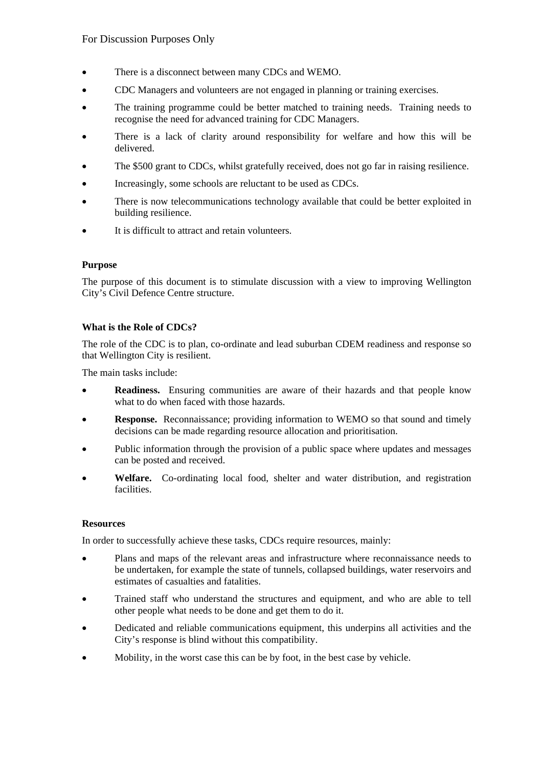- There is a disconnect between many CDCs and WEMO.
- CDC Managers and volunteers are not engaged in planning or training exercises.
- The training programme could be better matched to training needs. Training needs to recognise the need for advanced training for CDC Managers.
- There is a lack of clarity around responsibility for welfare and how this will be delivered.
- The \$500 grant to CDCs, whilst gratefully received, does not go far in raising resilience.
- Increasingly, some schools are reluctant to be used as CDCs.
- There is now telecommunications technology available that could be better exploited in building resilience.
- It is difficult to attract and retain volunteers.

## **Purpose**

The purpose of this document is to stimulate discussion with a view to improving Wellington City's Civil Defence Centre structure.

## **What is the Role of CDCs?**

The role of the CDC is to plan, co-ordinate and lead suburban CDEM readiness and response so that Wellington City is resilient.

The main tasks include:

- **Readiness.** Ensuring communities are aware of their hazards and that people know what to do when faced with those hazards.
- **Response.** Reconnaissance; providing information to WEMO so that sound and timely decisions can be made regarding resource allocation and prioritisation.
- Public information through the provision of a public space where updates and messages can be posted and received.
- **Welfare.** Co-ordinating local food, shelter and water distribution, and registration facilities.

#### **Resources**

In order to successfully achieve these tasks, CDCs require resources, mainly:

- Plans and maps of the relevant areas and infrastructure where reconnaissance needs to be undertaken, for example the state of tunnels, collapsed buildings, water reservoirs and estimates of casualties and fatalities.
- Trained staff who understand the structures and equipment, and who are able to tell other people what needs to be done and get them to do it.
- Dedicated and reliable communications equipment, this underpins all activities and the City's response is blind without this compatibility.
- Mobility, in the worst case this can be by foot, in the best case by vehicle.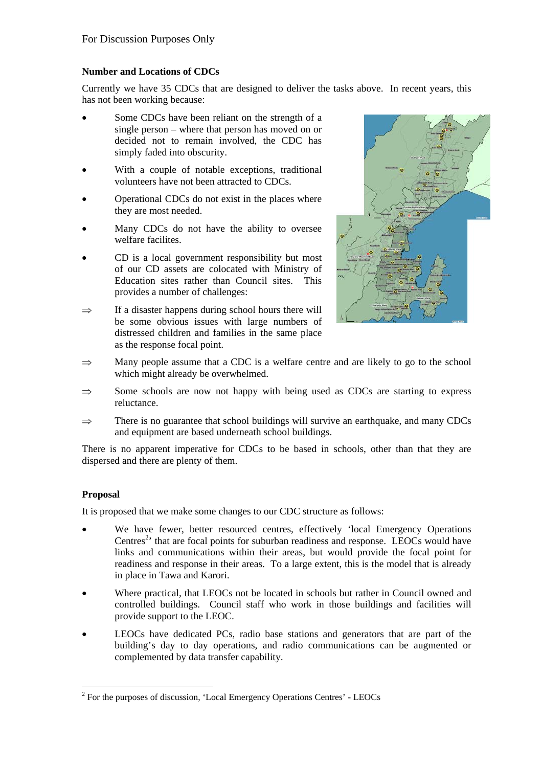## **Number and Locations of CDCs**

Currently we have 35 CDCs that are designed to deliver the tasks above. In recent years, this has not been working because:

- Some CDCs have been reliant on the strength of a single person – where that person has moved on or decided not to remain involved, the CDC has simply faded into obscurity.
- With a couple of notable exceptions, traditional volunteers have not been attracted to CDCs.
- Operational CDCs do not exist in the places where they are most needed.
- Many CDCs do not have the ability to oversee welfare facilites.
- CD is a local government responsibility but most of our CD assets are colocated with Ministry of Education sites rather than Council sites. This provides a number of challenges:
- $\Rightarrow$  If a disaster happens during school hours there will be some obvious issues with large numbers of distressed children and families in the same place as the response focal point.



- $\Rightarrow$  Many people assume that a CDC is a welfare centre and are likely to go to the school which might already be overwhelmed.
- $\Rightarrow$  Some schools are now not happy with being used as CDCs are starting to express reluctance.
- ⇒ There is no guarantee that school buildings will survive an earthquake, and many CDCs and equipment are based underneath school buildings.

There is no apparent imperative for CDCs to be based in schools, other than that they are dispersed and there are plenty of them.

## **Proposal**

It is proposed that we make some changes to our CDC structure as follows:

- We have fewer, better resourced centres, effectively 'local Emergency Operations Centres<sup>2</sup> that are focal points for suburban readiness and response. LEOCs would have links and communications within their areas, but would provide the focal point for readiness and response in their areas. To a large extent, this is the model that is already in place in Tawa and Karori.
- Where practical, that LEOCs not be located in schools but rather in Council owned and controlled buildings. Council staff who work in those buildings and facilities will provide support to the LEOC.
- LEOCs have dedicated PCs, radio base stations and generators that are part of the building's day to day operations, and radio communications can be augmented or complemented by data transfer capability.

 $\overline{a}$  $2^2$  For the purposes of discussion, 'Local Emergency Operations Centres' - LEOCs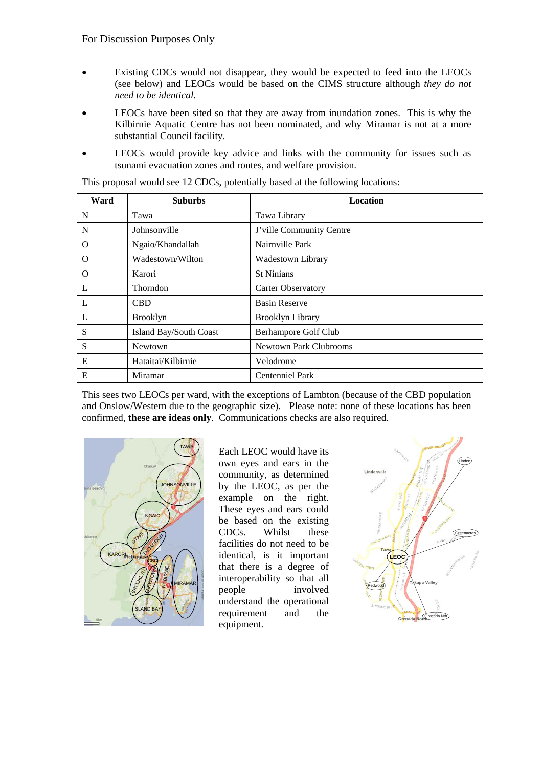- Existing CDCs would not disappear, they would be expected to feed into the LEOCs (see below) and LEOCs would be based on the CIMS structure although *they do not need to be identical*.
- LEOCs have been sited so that they are away from inundation zones. This is why the Kilbirnie Aquatic Centre has not been nominated, and why Miramar is not at a more substantial Council facility.
- LEOCs would provide key advice and links with the community for issues such as tsunami evacuation zones and routes, and welfare provision.

| Ward | <b>Suburbs</b>         | Location                      |
|------|------------------------|-------------------------------|
| N    | Tawa                   | Tawa Library                  |
| N    | Johnsonville           | J'ville Community Centre      |
| O    | Ngaio/Khandallah       | Nairnville Park               |
| O    | Wadestown/Wilton       | Wadestown Library             |
| O    | Karori                 | <b>St Ninians</b>             |
| L    | <b>Thorndon</b>        | <b>Carter Observatory</b>     |
| L    | <b>CBD</b>             | <b>Basin Reserve</b>          |
| L    | <b>Brooklyn</b>        | <b>Brooklyn Library</b>       |
| S    | Island Bay/South Coast | Berhampore Golf Club          |
| S    | <b>Newtown</b>         | <b>Newtown Park Clubrooms</b> |
| E    | Hataitai/Kilbirnie     | Velodrome                     |
| Е    | Miramar                | Centenniel Park               |

This proposal would see 12 CDCs, potentially based at the following locations:

This sees two LEOCs per ward, with the exceptions of Lambton (because of the CBD population and Onslow/Western due to the geographic size). Please note: none of these locations has been confirmed, **these are ideas only**. Communications checks are also required.



Each LEOC would have its own eyes and ears in the community, as determined by the LEOC, as per the example on the right. These eyes and ears could be based on the existing CDCs. Whilst these facilities do not need to be identical, is it important that there is a degree of interoperability so that all people involved understand the operational requirement and the equipment.

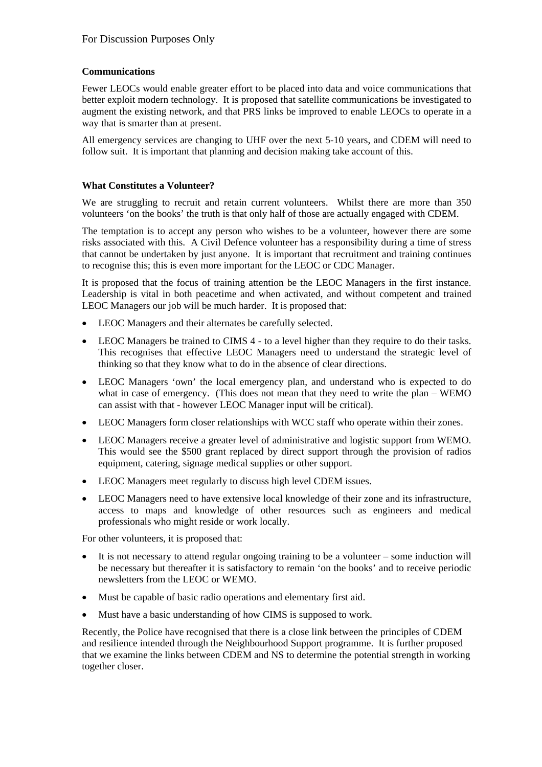## **Communications**

Fewer LEOCs would enable greater effort to be placed into data and voice communications that better exploit modern technology. It is proposed that satellite communications be investigated to augment the existing network, and that PRS links be improved to enable LEOCs to operate in a way that is smarter than at present.

All emergency services are changing to UHF over the next 5-10 years, and CDEM will need to follow suit. It is important that planning and decision making take account of this.

## **What Constitutes a Volunteer?**

We are struggling to recruit and retain current volunteers. Whilst there are more than 350 volunteers 'on the books' the truth is that only half of those are actually engaged with CDEM.

The temptation is to accept any person who wishes to be a volunteer, however there are some risks associated with this. A Civil Defence volunteer has a responsibility during a time of stress that cannot be undertaken by just anyone. It is important that recruitment and training continues to recognise this; this is even more important for the LEOC or CDC Manager.

It is proposed that the focus of training attention be the LEOC Managers in the first instance. Leadership is vital in both peacetime and when activated, and without competent and trained LEOC Managers our job will be much harder. It is proposed that:

- LEOC Managers and their alternates be carefully selected.
- LEOC Managers be trained to CIMS 4 to a level higher than they require to do their tasks. This recognises that effective LEOC Managers need to understand the strategic level of thinking so that they know what to do in the absence of clear directions.
- LEOC Managers 'own' the local emergency plan, and understand who is expected to do what in case of emergency. (This does not mean that they need to write the plan – WEMO can assist with that - however LEOC Manager input will be critical).
- LEOC Managers form closer relationships with WCC staff who operate within their zones.
- LEOC Managers receive a greater level of administrative and logistic support from WEMO. This would see the \$500 grant replaced by direct support through the provision of radios equipment, catering, signage medical supplies or other support.
- LEOC Managers meet regularly to discuss high level CDEM issues.
- LEOC Managers need to have extensive local knowledge of their zone and its infrastructure, access to maps and knowledge of other resources such as engineers and medical professionals who might reside or work locally.

For other volunteers, it is proposed that:

- It is not necessary to attend regular ongoing training to be a volunteer some induction will be necessary but thereafter it is satisfactory to remain 'on the books' and to receive periodic newsletters from the LEOC or WEMO.
- Must be capable of basic radio operations and elementary first aid.
- Must have a basic understanding of how CIMS is supposed to work.

Recently, the Police have recognised that there is a close link between the principles of CDEM and resilience intended through the Neighbourhood Support programme. It is further proposed that we examine the links between CDEM and NS to determine the potential strength in working together closer.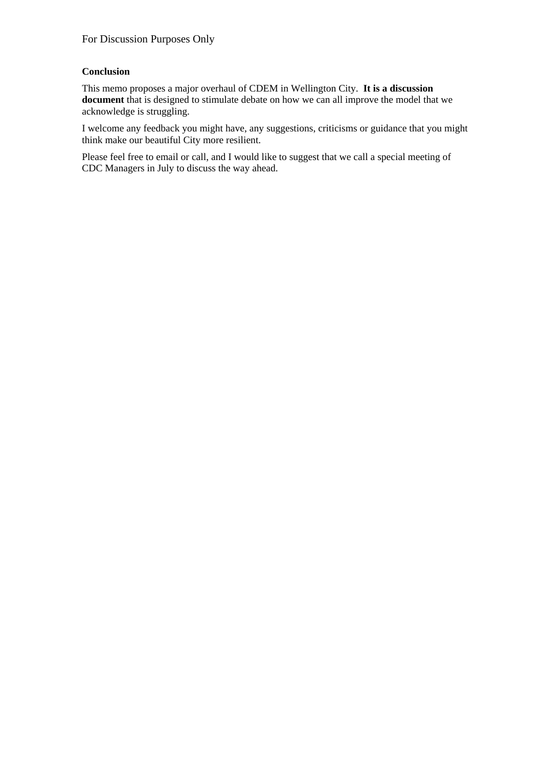## **Conclusion**

This memo proposes a major overhaul of CDEM in Wellington City. **It is a discussion document** that is designed to stimulate debate on how we can all improve the model that we acknowledge is struggling.

I welcome any feedback you might have, any suggestions, criticisms or guidance that you might think make our beautiful City more resilient.

Please feel free to email or call, and I would like to suggest that we call a special meeting of CDC Managers in July to discuss the way ahead.